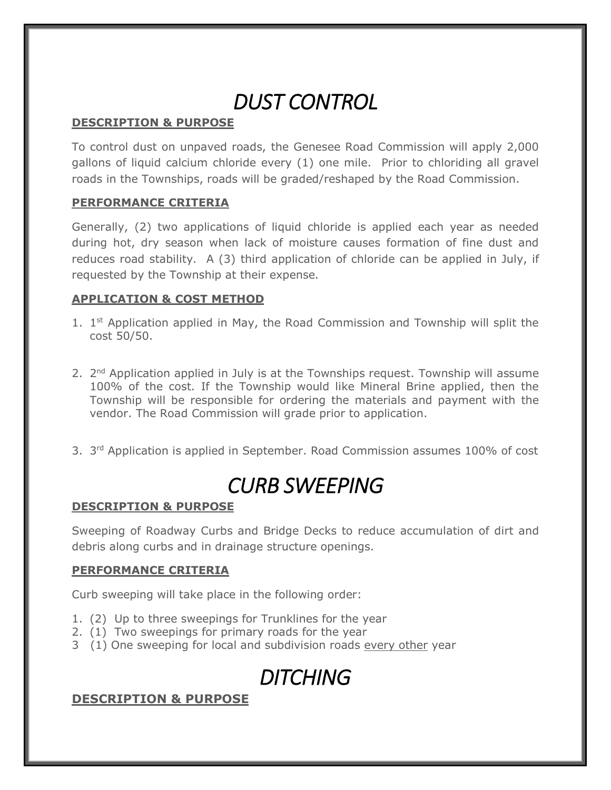# *DUST CONTROL*

### **DESCRIPTION & PURPOSE**

To control dust on unpaved roads, the Genesee Road Commission will apply 2,000 gallons of liquid calcium chloride every (1) one mile. Prior to chloriding all gravel roads in the Townships, roads will be graded/reshaped by the Road Commission.

### **PERFORMANCE CRITERIA**

Generally, (2) two applications of liquid chloride is applied each year as needed during hot, dry season when lack of moisture causes formation of fine dust and reduces road stability. A (3) third application of chloride can be applied in July, if requested by the Township at their expense.

### **APPLICATION & COST METHOD**

- 1. 1<sup>st</sup> Application applied in May, the Road Commission and Township will split the cost 50/50.
- 2. 2<sup>nd</sup> Application applied in July is at the Townships request. Township will assume 100% of the cost. If the Township would like Mineral Brine applied, then the Township will be responsible for ordering the materials and payment with the vendor. The Road Commission will grade prior to application.
- 3.  $3<sup>rd</sup>$  Application is applied in September. Road Commission assumes 100% of cost

# *CURB SWEEPING*

#### **DESCRIPTION & PURPOSE**

Sweeping of Roadway Curbs and Bridge Decks to reduce accumulation of dirt and debris along curbs and in drainage structure openings.

#### **PERFORMANCE CRITERIA**

Curb sweeping will take place in the following order:

- 1. (2) Up to three sweepings for Trunklines for the year
- 2. (1) Two sweepings for primary roads for the year
- 3 (1) One sweeping for local and subdivision roads every other year

# *DITCHING*

### **DESCRIPTION & PURPOSE**